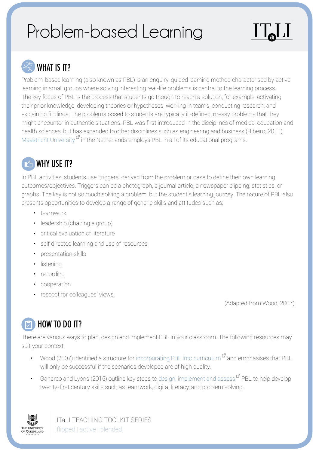# Problem-based Learning

# WHAT IS IT?

Problem-based learning (also known as PBL) is an enquiry-guided learning method characterised by active learning in small groups where solving interesting real-life problems is central to the learning process. The key focus of PBL is the process that students go though to reach a solution; for example, activating their prior knowledge, developing theories or hypotheses, working in teams, conducting research, and explaining findings. The problems posed to students are typically ill-defined, messy problems that they might encounter in authentic situations. PBL was first introduced in the disciplines of medical education and health sciences, but has expanded to other disciplines such as engineering and business (Ribeiro, 2011). [Maastricht University](https://www.maastrichtuniversity.nl/education/why-um/problem-based-learning)  $\mathbf{F}$  in the Netherlands employs PBL in all of its educational programs.

#### **EG** WHY USE IT?

In PBL activities, students use 'triggers' derived from the problem or case to define their own learning outcomes/objectives. Triggers can be a photograph, a journal article, a newspaper clipping, statistics, or graphs. The key is not so much solving a problem, but the student's learning journey. The nature of PBL also presents opportunities to develop a range of generic skills and attitudes such as:

- teamwork
- leadership (chairing a group)
- critical evaluation of literature
- self directed learning and use of resources
- presentation skills
- listening
- recording
- cooperation
- respect for colleagues' views.

(Adapted from Wood, 2007)

## **HOW TO DO IT?**

There are various ways to plan, design and implement PBL in your classroom. The following resources may suit your context:

- Wood (2007) identified a structure for incorporating [PBL into curriculum](https://www.cc-seas.columbia.edu/sites/dsa/files/what_is_PBL.pdf)  $\mathbb{F}^n$  and emphasises that PBL will only be successful if the scenarios developed are of high quality.
- Ganareo and Lyons (2015) outline key steps to [design, implement and assess](http://www.facultyfocus.com/articles/instructional-design/problem-based-learning-six-steps-to-design-implement-and-assess/)  $\mathbb{F}_{\text{PBL}}$  to help develop twenty-first century skills such as teamwork, digital literacy, and problem solving.



ITaLI TEACHING TOOLKIT SERIES flipped | active | blended